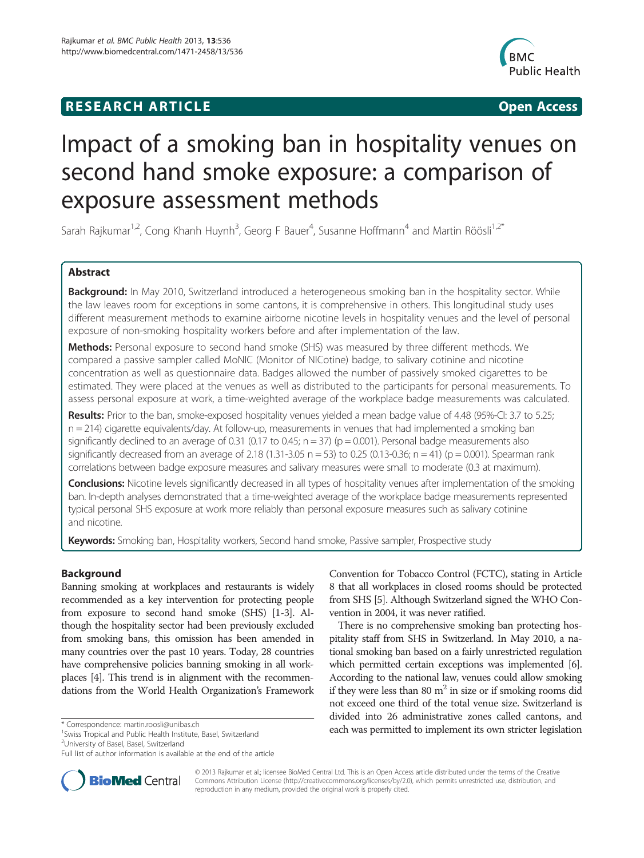# **RESEARCH ARTICLE Example 2018 12:00 Open Access**



# Impact of a smoking ban in hospitality venues on second hand smoke exposure: a comparison of exposure assessment methods

Sarah Rajkumar<sup>1,2</sup>, Cong Khanh Huynh<sup>3</sup>, Georg F Bauer<sup>4</sup>, Susanne Hoffmann<sup>4</sup> and Martin Röösli<sup>1,2\*</sup>

# Abstract

Background: In May 2010, Switzerland introduced a heterogeneous smoking ban in the hospitality sector. While the law leaves room for exceptions in some cantons, it is comprehensive in others. This longitudinal study uses different measurement methods to examine airborne nicotine levels in hospitality venues and the level of personal exposure of non-smoking hospitality workers before and after implementation of the law.

Methods: Personal exposure to second hand smoke (SHS) was measured by three different methods. We compared a passive sampler called MoNIC (Monitor of NICotine) badge, to salivary cotinine and nicotine concentration as well as questionnaire data. Badges allowed the number of passively smoked cigarettes to be estimated. They were placed at the venues as well as distributed to the participants for personal measurements. To assess personal exposure at work, a time-weighted average of the workplace badge measurements was calculated.

Results: Prior to the ban, smoke-exposed hospitality venues yielded a mean badge value of 4.48 (95%-CI: 3.7 to 5.25; n = 214) cigarette equivalents/day. At follow-up, measurements in venues that had implemented a smoking ban significantly declined to an average of 0.31 (0.17 to 0.45;  $n = 37$ ) ( $p = 0.001$ ). Personal badge measurements also significantly decreased from an average of 2.18 (1.31-3.05  $n = 53$ ) to 0.25 (0.13-0.36;  $n = 41$ ) ( $p = 0.001$ ). Spearman rank correlations between badge exposure measures and salivary measures were small to moderate (0.3 at maximum).

**Conclusions:** Nicotine levels significantly decreased in all types of hospitality venues after implementation of the smoking ban. In-depth analyses demonstrated that a time-weighted average of the workplace badge measurements represented typical personal SHS exposure at work more reliably than personal exposure measures such as salivary cotinine and nicotine.

Keywords: Smoking ban, Hospitality workers, Second hand smoke, Passive sampler, Prospective study

# Background

Banning smoking at workplaces and restaurants is widely recommended as a key intervention for protecting people from exposure to second hand smoke (SHS) [[1-3\]](#page-7-0). Although the hospitality sector had been previously excluded from smoking bans, this omission has been amended in many countries over the past 10 years. Today, 28 countries have comprehensive policies banning smoking in all workplaces [[4\]](#page-7-0). This trend is in alignment with the recommendations from the World Health Organization's Framework

<sup>1</sup> Swiss Tropical and Public Health Institute, Basel, Switzerland

<sup>2</sup>University of Basel, Basel, Switzerland

Convention for Tobacco Control (FCTC), stating in Article 8 that all workplaces in closed rooms should be protected from SHS [\[5\]](#page-7-0). Although Switzerland signed the WHO Convention in 2004, it was never ratified.

There is no comprehensive smoking ban protecting hospitality staff from SHS in Switzerland. In May 2010, a national smoking ban based on a fairly unrestricted regulation which permitted certain exceptions was implemented [[6](#page-7-0)]. According to the national law, venues could allow smoking if they were less than 80  $m<sup>2</sup>$  in size or if smoking rooms did not exceed one third of the total venue size. Switzerland is divided into 26 administrative zones called cantons, and \* Correspondence: [martin.roosli@unibas.ch](mailto:martin.roosli@unibas.ch) each was permitted to implement its own stricter legislation



© 2013 Rajkumar et al.; licensee BioMed Central Ltd. This is an Open Access article distributed under the terms of the Creative Commons Attribution License [\(http://creativecommons.org/licenses/by/2.0\)](http://creativecommons.org/licenses/by/2.0), which permits unrestricted use, distribution, and reproduction in any medium, provided the original work is properly cited.

Full list of author information is available at the end of the article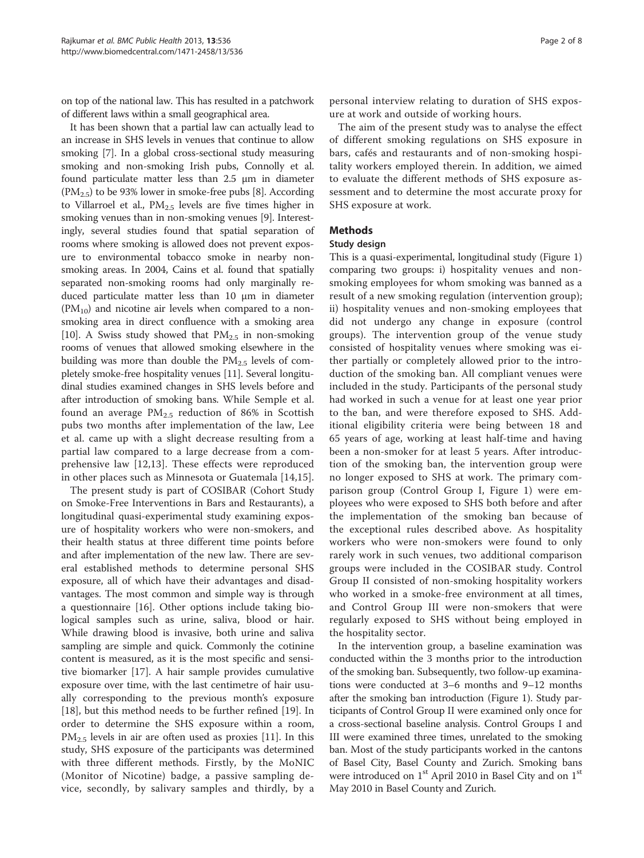on top of the national law. This has resulted in a patchwork of different laws within a small geographical area.

It has been shown that a partial law can actually lead to an increase in SHS levels in venues that continue to allow smoking [[7\]](#page-7-0). In a global cross-sectional study measuring smoking and non-smoking Irish pubs, Connolly et al. found particulate matter less than 2.5 μm in diameter  $(PM_{2.5})$  to be 93% lower in smoke-free pubs [[8](#page-7-0)]. According to Villarroel et al.,  $PM_{2.5}$  levels are five times higher in smoking venues than in non-smoking venues [\[9\]](#page-7-0). Interestingly, several studies found that spatial separation of rooms where smoking is allowed does not prevent exposure to environmental tobacco smoke in nearby nonsmoking areas. In 2004, Cains et al. found that spatially separated non-smoking rooms had only marginally reduced particulate matter less than 10 μm in diameter  $(PM_{10})$  and nicotine air levels when compared to a nonsmoking area in direct confluence with a smoking area [[10](#page-7-0)]. A Swiss study showed that  $PM_{2.5}$  in non-smoking rooms of venues that allowed smoking elsewhere in the building was more than double the  $PM_{2.5}$  levels of completely smoke-free hospitality venues [\[11\]](#page-7-0). Several longitudinal studies examined changes in SHS levels before and after introduction of smoking bans. While Semple et al. found an average  $PM_{2.5}$  reduction of 86% in Scottish pubs two months after implementation of the law, Lee et al. came up with a slight decrease resulting from a partial law compared to a large decrease from a comprehensive law [[12,13](#page-7-0)]. These effects were reproduced in other places such as Minnesota or Guatemala [[14,15](#page-7-0)].

The present study is part of COSIBAR (Cohort Study on Smoke-Free Interventions in Bars and Restaurants), a longitudinal quasi-experimental study examining exposure of hospitality workers who were non-smokers, and their health status at three different time points before and after implementation of the new law. There are several established methods to determine personal SHS exposure, all of which have their advantages and disadvantages. The most common and simple way is through a questionnaire [\[16\]](#page-7-0). Other options include taking biological samples such as urine, saliva, blood or hair. While drawing blood is invasive, both urine and saliva sampling are simple and quick. Commonly the cotinine content is measured, as it is the most specific and sensitive biomarker [[17](#page-7-0)]. A hair sample provides cumulative exposure over time, with the last centimetre of hair usually corresponding to the previous month's exposure [[18\]](#page-7-0), but this method needs to be further refined [[19](#page-7-0)]. In order to determine the SHS exposure within a room,  $PM_{2.5}$  levels in air are often used as proxies [\[11\]](#page-7-0). In this study, SHS exposure of the participants was determined with three different methods. Firstly, by the MoNIC (Monitor of Nicotine) badge, a passive sampling device, secondly, by salivary samples and thirdly, by a

personal interview relating to duration of SHS exposure at work and outside of working hours.

The aim of the present study was to analyse the effect of different smoking regulations on SHS exposure in bars, cafés and restaurants and of non-smoking hospitality workers employed therein. In addition, we aimed to evaluate the different methods of SHS exposure assessment and to determine the most accurate proxy for SHS exposure at work.

# Methods

## Study design

This is a quasi-experimental, longitudinal study (Figure [1](#page-2-0)) comparing two groups: i) hospitality venues and nonsmoking employees for whom smoking was banned as a result of a new smoking regulation (intervention group); ii) hospitality venues and non-smoking employees that did not undergo any change in exposure (control groups). The intervention group of the venue study consisted of hospitality venues where smoking was either partially or completely allowed prior to the introduction of the smoking ban. All compliant venues were included in the study. Participants of the personal study had worked in such a venue for at least one year prior to the ban, and were therefore exposed to SHS. Additional eligibility criteria were being between 18 and 65 years of age, working at least half-time and having been a non-smoker for at least 5 years. After introduction of the smoking ban, the intervention group were no longer exposed to SHS at work. The primary comparison group (Control Group I, Figure [1](#page-2-0)) were employees who were exposed to SHS both before and after the implementation of the smoking ban because of the exceptional rules described above. As hospitality workers who were non-smokers were found to only rarely work in such venues, two additional comparison groups were included in the COSIBAR study. Control Group II consisted of non-smoking hospitality workers who worked in a smoke-free environment at all times, and Control Group III were non-smokers that were regularly exposed to SHS without being employed in the hospitality sector.

In the intervention group, a baseline examination was conducted within the 3 months prior to the introduction of the smoking ban. Subsequently, two follow-up examinations were conducted at 3–6 months and 9–12 months after the smoking ban introduction (Figure [1\)](#page-2-0). Study participants of Control Group II were examined only once for a cross-sectional baseline analysis. Control Groups I and III were examined three times, unrelated to the smoking ban. Most of the study participants worked in the cantons of Basel City, Basel County and Zurich. Smoking bans were introduced on  $1<sup>st</sup>$  April 2010 in Basel City and on  $1<sup>st</sup>$ May 2010 in Basel County and Zurich.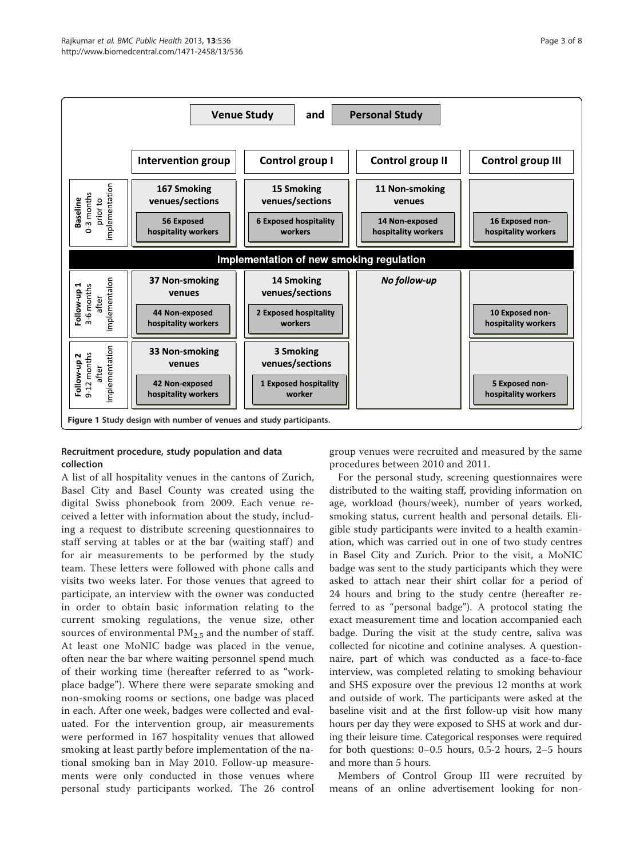<span id="page-2-0"></span>

# Recruitment procedure, study population and data collection

A list of all hospitality venues in the cantons of Zurich, Basel City and Basel County was created using the digital Swiss phonebook from 2009. Each venue received a letter with information about the study, including a request to distribute screening questionnaires to staff serving at tables or at the bar (waiting staff) and for air measurements to be performed by the study team. These letters were followed with phone calls and visits two weeks later. For those venues that agreed to participate, an interview with the owner was conducted in order to obtain basic information relating to the current smoking regulations, the venue size, other sources of environmental  $PM_{2.5}$  and the number of staff. At least one MoNIC badge was placed in the venue, often near the bar where waiting personnel spend much of their working time (hereafter referred to as "workplace badge"). Where there were separate smoking and non-smoking rooms or sections, one badge was placed in each. After one week, badges were collected and evaluated. For the intervention group, air measurements were performed in 167 hospitality venues that allowed smoking at least partly before implementation of the national smoking ban in May 2010. Follow-up measurements were only conducted in those venues where personal study participants worked. The 26 control

group venues were recruited and measured by the same procedures between 2010 and 2011.

For the personal study, screening questionnaires were distributed to the waiting staff, providing information on age, workload (hours/week), number of years worked, smoking status, current health and personal details. Eligible study participants were invited to a health examination, which was carried out in one of two study centres in Basel City and Zurich. Prior to the visit, a MoNIC badge was sent to the study participants which they were asked to attach near their shirt collar for a period of 24 hours and bring to the study centre (hereafter referred to as "personal badge"). A protocol stating the exact measurement time and location accompanied each badge. During the visit at the study centre, saliva was collected for nicotine and cotinine analyses. A questionnaire, part of which was conducted as a face-to-face interview, was completed relating to smoking behaviour and SHS exposure over the previous 12 months at work and outside of work. The participants were asked at the baseline visit and at the first follow-up visit how many hours per day they were exposed to SHS at work and during their leisure time. Categorical responses were required for both questions: 0–0.5 hours, 0.5-2 hours, 2–5 hours and more than 5 hours.

Members of Control Group III were recruited by means of an online advertisement looking for non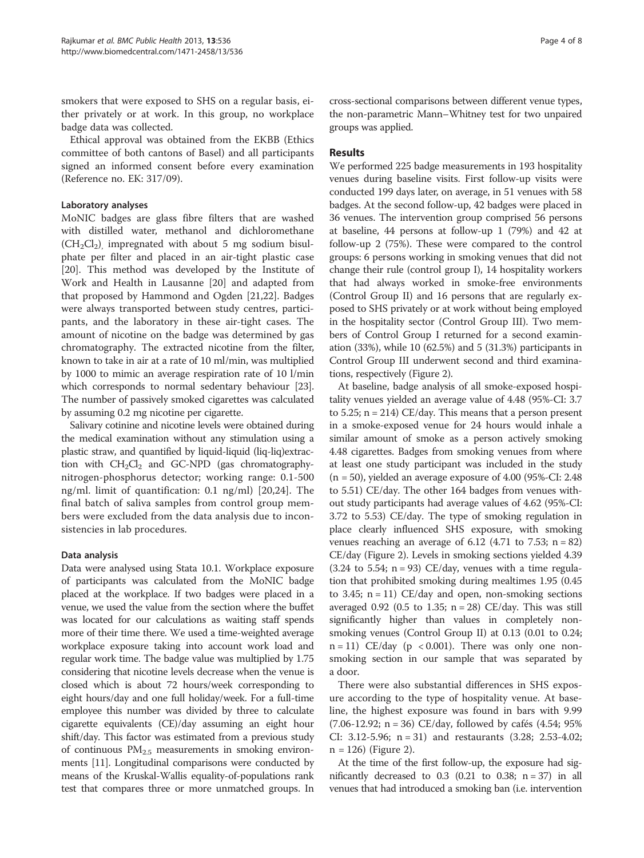smokers that were exposed to SHS on a regular basis, either privately or at work. In this group, no workplace badge data was collected.

Ethical approval was obtained from the EKBB (Ethics committee of both cantons of Basel) and all participants signed an informed consent before every examination (Reference no. EK: 317/09).

## Laboratory analyses

MoNIC badges are glass fibre filters that are washed with distilled water, methanol and dichloromethane  $(CH_2Cl_2)$ , impregnated with about 5 mg sodium bisulphate per filter and placed in an air-tight plastic case [[20\]](#page-7-0). This method was developed by the Institute of Work and Health in Lausanne [\[20](#page-7-0)] and adapted from that proposed by Hammond and Ogden [\[21,22](#page-7-0)]. Badges were always transported between study centres, participants, and the laboratory in these air-tight cases. The amount of nicotine on the badge was determined by gas chromatography. The extracted nicotine from the filter, known to take in air at a rate of 10 ml/min, was multiplied by 1000 to mimic an average respiration rate of 10 l/min which corresponds to normal sedentary behaviour [[23](#page-7-0)]. The number of passively smoked cigarettes was calculated by assuming 0.2 mg nicotine per cigarette.

Salivary cotinine and nicotine levels were obtained during the medical examination without any stimulation using a plastic straw, and quantified by liquid-liquid (liq-liq)extraction with  $CH_2Cl_2$  and GC-NPD (gas chromatographynitrogen-phosphorus detector; working range: 0.1-500 ng/ml. limit of quantification: 0.1 ng/ml) [[20,24](#page-7-0)]. The final batch of saliva samples from control group members were excluded from the data analysis due to inconsistencies in lab procedures.

## Data analysis

Data were analysed using Stata 10.1. Workplace exposure of participants was calculated from the MoNIC badge placed at the workplace. If two badges were placed in a venue, we used the value from the section where the buffet was located for our calculations as waiting staff spends more of their time there. We used a time-weighted average workplace exposure taking into account work load and regular work time. The badge value was multiplied by 1.75 considering that nicotine levels decrease when the venue is closed which is about 72 hours/week corresponding to eight hours/day and one full holiday/week. For a full-time employee this number was divided by three to calculate cigarette equivalents (CE)/day assuming an eight hour shift/day. This factor was estimated from a previous study of continuous  $PM_{2,5}$  measurements in smoking environments [[11](#page-7-0)]. Longitudinal comparisons were conducted by means of the Kruskal-Wallis equality-of-populations rank test that compares three or more unmatched groups. In cross-sectional comparisons between different venue types, the non-parametric Mann–Whitney test for two unpaired groups was applied.

## Results

We performed 225 badge measurements in 193 hospitality venues during baseline visits. First follow-up visits were conducted 199 days later, on average, in 51 venues with 58 badges. At the second follow-up, 42 badges were placed in 36 venues. The intervention group comprised 56 persons at baseline, 44 persons at follow-up 1 (79%) and 42 at follow-up 2 (75%). These were compared to the control groups: 6 persons working in smoking venues that did not change their rule (control group I), 14 hospitality workers that had always worked in smoke-free environments (Control Group II) and 16 persons that are regularly exposed to SHS privately or at work without being employed in the hospitality sector (Control Group III). Two members of Control Group I returned for a second examination (33%), while 10 (62.5%) and 5 (31.3%) participants in Control Group III underwent second and third examinations, respectively (Figure [2\)](#page-4-0).

At baseline, badge analysis of all smoke-exposed hospitality venues yielded an average value of 4.48 (95%-CI: 3.7 to 5.25; n = 214) CE/day. This means that a person present in a smoke-exposed venue for 24 hours would inhale a similar amount of smoke as a person actively smoking 4.48 cigarettes. Badges from smoking venues from where at least one study participant was included in the study  $(n = 50)$ , yielded an average exposure of 4.00 (95%-CI: 2.48) to 5.51) CE/day. The other 164 badges from venues without study participants had average values of 4.62 (95%-CI: 3.72 to 5.53) CE/day. The type of smoking regulation in place clearly influenced SHS exposure, with smoking venues reaching an average of 6.12 (4.71 to 7.53;  $n = 82$ ) CE/day (Figure [2\)](#page-4-0). Levels in smoking sections yielded 4.39  $(3.24 \text{ to } 5.54; n = 93) \text{ CE/day}$ , venues with a time regulation that prohibited smoking during mealtimes 1.95 (0.45 to 3.45;  $n = 11$ ) CE/day and open, non-smoking sections averaged 0.92 (0.5 to 1.35;  $n = 28$ ) CE/day. This was still significantly higher than values in completely nonsmoking venues (Control Group II) at 0.13 (0.01 to 0.24;  $n = 11$ ) CE/day ( $p < 0.001$ ). There was only one nonsmoking section in our sample that was separated by a door.

There were also substantial differences in SHS exposure according to the type of hospitality venue. At baseline, the highest exposure was found in bars with 9.99 (7.06-12.92; n = 36) CE/day, followed by cafés (4.54; 95% CI: 3.12-5.96; n = 31) and restaurants (3.28; 2.53-4.02;  $n = 126$ ) (Figure [2](#page-4-0)).

At the time of the first follow-up, the exposure had significantly decreased to  $0.3$  (0.21 to 0.38; n = 37) in all venues that had introduced a smoking ban (i.e. intervention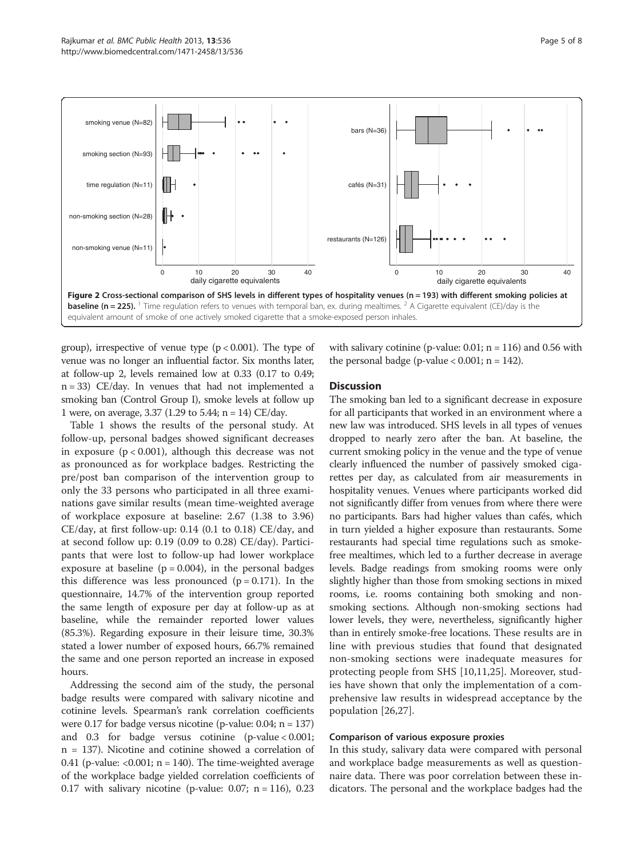<span id="page-4-0"></span>

group), irrespective of venue type  $(p < 0.001)$ . The type of venue was no longer an influential factor. Six months later, at follow-up 2, levels remained low at 0.33 (0.17 to 0.49; n = 33) CE/day. In venues that had not implemented a smoking ban (Control Group I), smoke levels at follow up 1 were, on average, 3.37 (1.29 to 5.44; n = 14) CE/day.

Table [1](#page-5-0) shows the results of the personal study. At follow-up, personal badges showed significant decreases in exposure  $(p < 0.001)$ , although this decrease was not as pronounced as for workplace badges. Restricting the pre/post ban comparison of the intervention group to only the 33 persons who participated in all three examinations gave similar results (mean time-weighted average of workplace exposure at baseline: 2.67 (1.38 to 3.96) CE/day, at first follow-up: 0.14 (0.1 to 0.18) CE/day, and at second follow up: 0.19 (0.09 to 0.28) CE/day). Participants that were lost to follow-up had lower workplace exposure at baseline ( $p = 0.004$ ), in the personal badges this difference was less pronounced  $(p = 0.171)$ . In the questionnaire, 14.7% of the intervention group reported the same length of exposure per day at follow-up as at baseline, while the remainder reported lower values (85.3%). Regarding exposure in their leisure time, 30.3% stated a lower number of exposed hours, 66.7% remained the same and one person reported an increase in exposed hours.

Addressing the second aim of the study, the personal badge results were compared with salivary nicotine and cotinine levels. Spearman's rank correlation coefficients were 0.17 for badge versus nicotine (p-value: 0.04; n = 137) and 0.3 for badge versus cotinine (p-value < 0.001; n = 137). Nicotine and cotinine showed a correlation of 0.41 (p-value:  $< 0.001$ ; n = 140). The time-weighted average of the workplace badge yielded correlation coefficients of 0.17 with salivary nicotine (p-value: 0.07;  $n = 116$ ), 0.23 with salivary cotinine (p-value:  $0.01$ ; n = 116) and 0.56 with the personal badge (p-value  $< 0.001$ ; n = 142).

# **Discussion**

The smoking ban led to a significant decrease in exposure for all participants that worked in an environment where a new law was introduced. SHS levels in all types of venues dropped to nearly zero after the ban. At baseline, the current smoking policy in the venue and the type of venue clearly influenced the number of passively smoked cigarettes per day, as calculated from air measurements in hospitality venues. Venues where participants worked did not significantly differ from venues from where there were no participants. Bars had higher values than cafés, which in turn yielded a higher exposure than restaurants. Some restaurants had special time regulations such as smokefree mealtimes, which led to a further decrease in average levels. Badge readings from smoking rooms were only slightly higher than those from smoking sections in mixed rooms, i.e. rooms containing both smoking and nonsmoking sections. Although non-smoking sections had lower levels, they were, nevertheless, significantly higher than in entirely smoke-free locations. These results are in line with previous studies that found that designated non-smoking sections were inadequate measures for protecting people from SHS [[10,11,25](#page-7-0)]. Moreover, studies have shown that only the implementation of a comprehensive law results in widespread acceptance by the population [[26,27\]](#page-7-0).

## Comparison of various exposure proxies

In this study, salivary data were compared with personal and workplace badge measurements as well as questionnaire data. There was poor correlation between these indicators. The personal and the workplace badges had the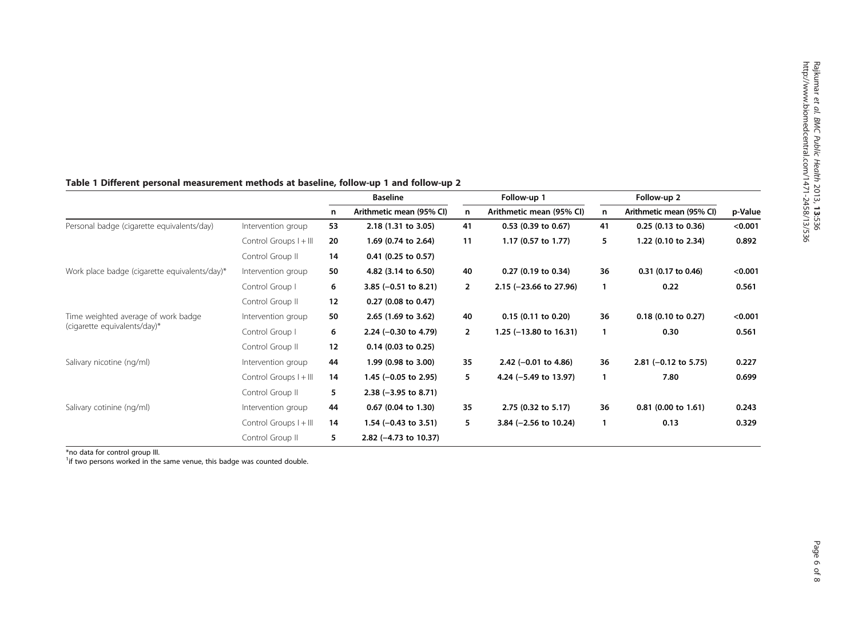|                                                                     |                        | <b>Baseline</b> |                                 | Follow-up 1  |                                   | Follow-up 2 |                          |         |
|---------------------------------------------------------------------|------------------------|-----------------|---------------------------------|--------------|-----------------------------------|-------------|--------------------------|---------|
|                                                                     |                        | n               | Arithmetic mean (95% CI)        | n            | Arithmetic mean (95% CI)          | n           | Arithmetic mean (95% CI) | p-Value |
| Personal badge (cigarette equivalents/day)                          | Intervention group     | 53              | 2.18 (1.31 to 3.05)             | 41           | $0.53$ (0.39 to 0.67)             | 41          | $0.25$ (0.13 to 0.36)    | < 0.001 |
|                                                                     | Control Groups I + III | 20              | 1.69 (0.74 to 2.64)             | 11           | 1.17 (0.57 to 1.77)               | 5           | 1.22 (0.10 to 2.34)      | 0.892   |
|                                                                     | Control Group II       | 14              | $0.41$ (0.25 to 0.57)           |              |                                   |             |                          |         |
| Work place badge (cigarette equivalents/day)*                       | Intervention group     | 50              | 4.82 (3.14 to 6.50)             | 40           | $0.27$ (0.19 to 0.34)             | 36          | 0.31 (0.17 to 0.46)      | < 0.001 |
|                                                                     | Control Group I        | 6               | 3.85 $(-0.51$ to 8.21)          | 2            | $2.15$ (-23.66 to 27.96)          | 1           | 0.22                     | 0.561   |
|                                                                     | Control Group II       | 12              | 0.27 (0.08 to 0.47)             |              |                                   |             |                          |         |
| Time weighted average of work badge<br>(cigarette equivalents/day)* | Intervention group     | 50              | 2.65 (1.69 to 3.62)             | 40           | $0.15$ (0.11 to 0.20)             | 36          | 0.18 (0.10 to 0.27)      | < 0.001 |
|                                                                     | Control Group I        | 6               | 2.24 $(-0.30$ to 4.79)          | $\mathbf{2}$ | 1.25 $(-13.80 \text{ to } 16.31)$ | 1           | 0.30                     | 0.561   |
|                                                                     | Control Group II       | 12              | $0.14$ (0.03 to 0.25)           |              |                                   |             |                          |         |
| Salivary nicotine (ng/ml)                                           | Intervention group     | 44              | 1.99 (0.98 to 3.00)             | 35           | 2.42 $(-0.01$ to 4.86)            | 36          | 2.81 $(-0.12$ to 5.75)   | 0.227   |
|                                                                     | Control Groups I + III | 14              | 1.45 $(-0.05$ to 2.95)          | 5            | 4.24 (-5.49 to 13.97)             |             | 7.80                     | 0.699   |
|                                                                     | Control Group II       | 5               | $2.38$ (-3.95 to 8.71)          |              |                                   |             |                          |         |
| Salivary cotinine (ng/ml)                                           | Intervention group     | 44              | $0.67$ (0.04 to 1.30)           | 35           | 2.75 (0.32 to 5.17)               | 36          | $0.81$ (0.00 to 1.61)    | 0.243   |
|                                                                     | Control Groups I + III | 14              | 1.54 $(-0.43 \text{ to } 3.51)$ | 5.           | 3.84 $(-2.56$ to 10.24)           | 1           | 0.13                     | 0.329   |
|                                                                     | Control Group II       | 5               | 2.82 (-4.73 to 10.37)           |              |                                   |             |                          |         |

# <span id="page-5-0"></span>Table 1 Different personal measurement methods at baseline, follow-up 1 and follow-up 2

\*no data for control group III.

<sup>1</sup>if two persons worked in the same venue, this badge was counted double.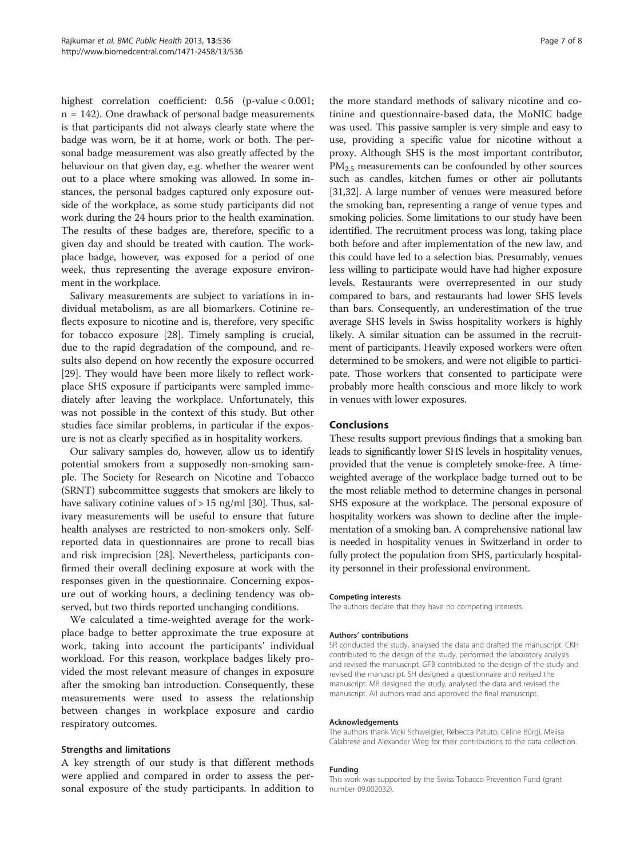highest correlation coefficient: 0.56 (p-value < 0.001; n = 142). One drawback of personal badge measurements is that participants did not always clearly state where the badge was worn, be it at home, work or both. The personal badge measurement was also greatly affected by the behaviour on that given day, e.g. whether the wearer went out to a place where smoking was allowed. In some instances, the personal badges captured only exposure outside of the workplace, as some study participants did not work during the 24 hours prior to the health examination. The results of these badges are, therefore, specific to a given day and should be treated with caution. The workplace badge, however, was exposed for a period of one week, thus representing the average exposure environment in the workplace.

Salivary measurements are subject to variations in individual metabolism, as are all biomarkers. Cotinine reflects exposure to nicotine and is, therefore, very specific for tobacco exposure [[28](#page-7-0)]. Timely sampling is crucial, due to the rapid degradation of the compound, and results also depend on how recently the exposure occurred [[29\]](#page-7-0). They would have been more likely to reflect workplace SHS exposure if participants were sampled immediately after leaving the workplace. Unfortunately, this was not possible in the context of this study. But other studies face similar problems, in particular if the exposure is not as clearly specified as in hospitality workers.

Our salivary samples do, however, allow us to identify potential smokers from a supposedly non-smoking sample. The Society for Research on Nicotine and Tobacco (SRNT) subcommittee suggests that smokers are likely to have salivary cotinine values of > 15 ng/ml [[30\]](#page-7-0). Thus, salivary measurements will be useful to ensure that future health analyses are restricted to non-smokers only. Selfreported data in questionnaires are prone to recall bias and risk imprecision [[28](#page-7-0)]. Nevertheless, participants confirmed their overall declining exposure at work with the responses given in the questionnaire. Concerning exposure out of working hours, a declining tendency was observed, but two thirds reported unchanging conditions.

We calculated a time-weighted average for the workplace badge to better approximate the true exposure at work, taking into account the participants' individual workload. For this reason, workplace badges likely provided the most relevant measure of changes in exposure after the smoking ban introduction. Consequently, these measurements were used to assess the relationship between changes in workplace exposure and cardio respiratory outcomes.

## Strengths and limitations

A key strength of our study is that different methods were applied and compared in order to assess the personal exposure of the study participants. In addition to

the more standard methods of salivary nicotine and cotinine and questionnaire-based data, the MoNIC badge was used. This passive sampler is very simple and easy to use, providing a specific value for nicotine without a proxy. Although SHS is the most important contributor, PM<sub>2.5</sub> measurements can be confounded by other sources such as candles, kitchen fumes or other air pollutants [[31,32](#page-7-0)]. A large number of venues were measured before the smoking ban, representing a range of venue types and smoking policies. Some limitations to our study have been identified. The recruitment process was long, taking place both before and after implementation of the new law, and this could have led to a selection bias. Presumably, venues less willing to participate would have had higher exposure levels. Restaurants were overrepresented in our study compared to bars, and restaurants had lower SHS levels than bars. Consequently, an underestimation of the true average SHS levels in Swiss hospitality workers is highly likely. A similar situation can be assumed in the recruitment of participants. Heavily exposed workers were often determined to be smokers, and were not eligible to participate. Those workers that consented to participate were probably more health conscious and more likely to work in venues with lower exposures.

## Conclusions

These results support previous findings that a smoking ban leads to significantly lower SHS levels in hospitality venues, provided that the venue is completely smoke-free. A timeweighted average of the workplace badge turned out to be the most reliable method to determine changes in personal SHS exposure at the workplace. The personal exposure of hospitality workers was shown to decline after the implementation of a smoking ban. A comprehensive national law is needed in hospitality venues in Switzerland in order to fully protect the population from SHS, particularly hospitality personnel in their professional environment.

#### Competing interests

The authors declare that they have no competing interests.

#### Authors' contributions

SR conducted the study, analysed the data and drafted the manuscript. CKH contributed to the design of the study, performed the laboratory analysis and revised the manuscript. GFB contributed to the design of the study and revised the manuscript. SH designed a questionnaire and revised the manuscript. MR designed the study, analysed the data and revised the manuscript. All authors read and approved the final manuscript.

#### Acknowledgements

The authors thank Vicki Schweigler, Rebecca Patuto, Céline Bürgi, Melisa Calabrese and Alexander Wieg for their contributions to the data collection.

#### Funding

This work was supported by the Swiss Tobacco Prevention Fund (grant number 09.002032).